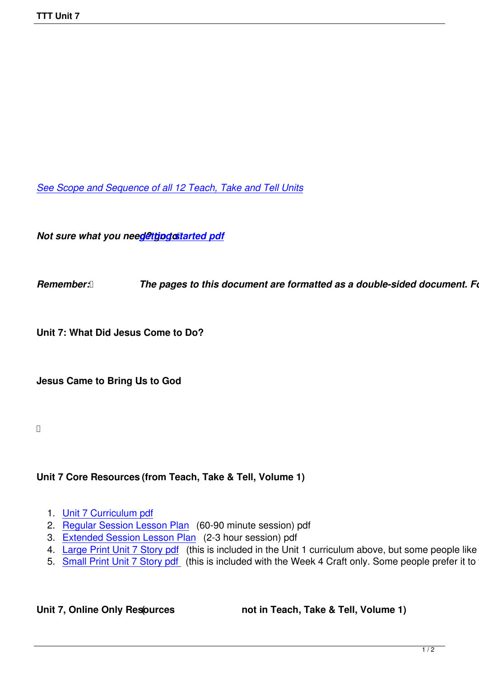*See Scope and Sequence of all 12 Teach, Take and Tell Units*

*Not sure what you need@ttjpgostarted pdf* 

**Remember: <b>***[The pages to this d](images/TTT/8 4 11 TTT/New TTT Website Documents/TTT Book portions/2nd GEtting Started.pdf)ocument are formatted as a double-sided document. Follow Formate printers in Formate as a double-sided document. Follow Formate.* 

**Unit 7: What Did Jesus Come to Do?**

**Jesus Came to Bring Us to God !**

## **Unit 7 Core Resources (from Teach, Take & Tell, Volume 1)**

- 1. Unit 7 Curriculum pdf
- 2. Regular Session Lesson Plan (60-90 minute session) pdf
- 3. Extended Session Lesson Plan (2-3 hour session) pdf
- 4. [Large Print Unit 7 Sto](images/TTT/8 4 11 TTT/Unit 7/Unit 7/4th Unit 7 Curr Portion.pdf)ry pdf (this is included in the Unit 1 curriculum above, but some people like to just
- 5. [Small Print Unit 7 Story pdf \(t](images/TTT/8 4 11 TTT/Unit 7/Unit 7/3rd LP R.pdf)his is included with the Week 4 Craft only. Some people prefer it to the

Unit 7, Online Only Resources **(1)** not in Teach, Take & Tell, Volume 1)